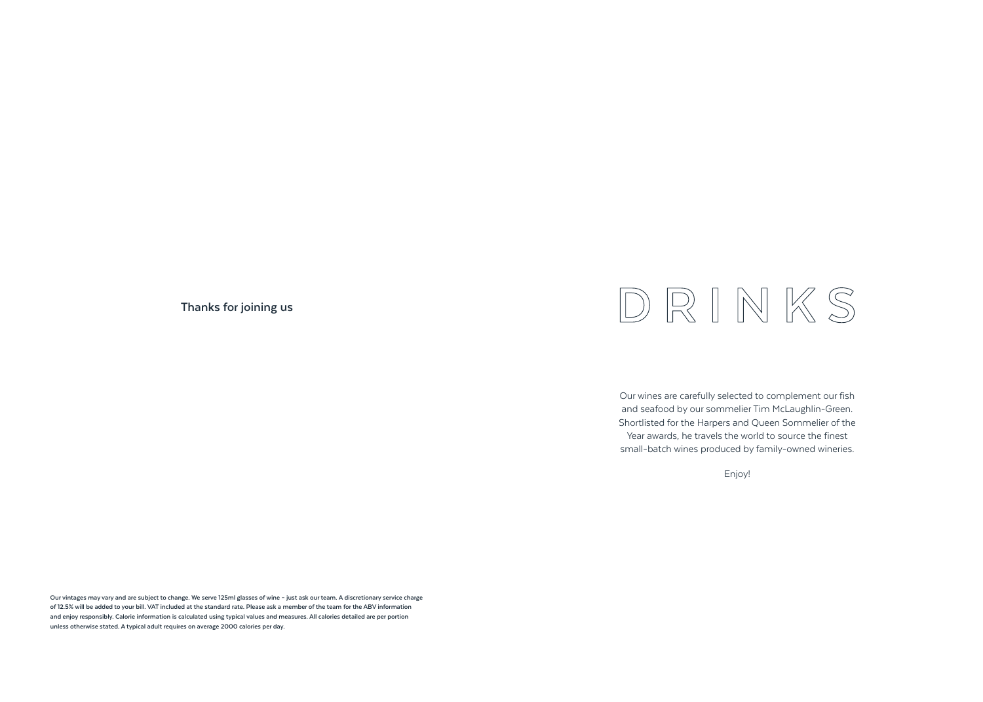**Thanks for joining us**

# DRINKS

Our wines are carefully selected to complement our fish and seafood by our sommelier Tim McLaughlin-Green. Shortlisted for the Harpers and Queen Sommelier of the Year awards, he travels the world to source the finest small-batch wines produced by family-owned wineries.

Enjoy!

**Our vintages may vary and are subject to change. We serve 125ml glasses of wine – just ask our team. A discretionary service charge of 12.5% will be added to your bill. VAT included at the standard rate. Please ask a member of the team for the ABV information and enjoy responsibly. Calorie information is calculated using typical values and measures. All calories detailed are per portion unless otherwise stated. A typical adult requires on average 2000 calories per day.**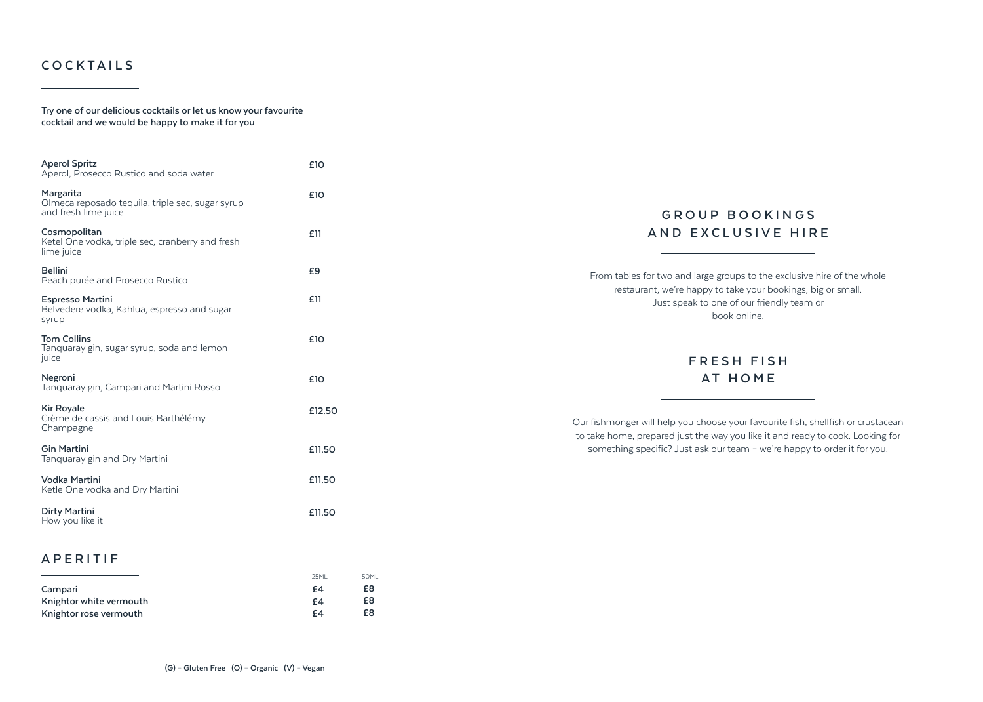#### **COCKTAILS**

**Try one of our delicious cocktails or let us know your favourite cocktail and we would be happy to make it for you**

| <b>Aperol Spritz</b><br>Aperol, Prosecco Rustico and soda water                       | £10    |
|---------------------------------------------------------------------------------------|--------|
| Margarita<br>Olmeca reposado tequila, triple sec, sugar syrup<br>and fresh lime juice | £10    |
| Cosmopolitan<br>Ketel One vodka, triple sec, cranberry and fresh<br>lime juice        | £11    |
| <b>Bellini</b><br>Peach purée and Prosecco Rustico                                    | £9     |
| <b>Espresso Martini</b><br>Belvedere vodka, Kahlua, espresso and sugar<br>syrup       | £11    |
| <b>Tom Collins</b><br>Tanguaray gin, sugar syrup, soda and lemon<br>juice             | £10    |
| Negroni<br>Tanguaray gin, Campari and Martini Rosso                                   | £10    |
| <b>Kir Royale</b><br>Crème de cassis and Louis Barthélémy<br>Champagne                | £12.50 |
| <b>Gin Martini</b><br>Tanguaray gin and Dry Martini                                   | £11.50 |
| Vodka Martini<br>Ketle One vodka and Dry Martini                                      | £11.50 |
| <b>Dirty Martini</b><br>How you like it                                               | £11.50 |
| APERITIF                                                                              |        |

|                         | 25ML | 50MI |
|-------------------------|------|------|
| Campari                 | £4   | £8   |
| Knightor white vermouth | £4   | £8   |
| Knightor rose vermouth  | F4   | £8   |

#### **G ROU P B O O K I N G S AND EXCLUSIVE HIRE**

From tables for two and large groups to the exclusive hire of the whole restaurant, we're happy to take your bookings, big or small. Just speak to one of our friendly team or book online.

# **FRESH FISH AT HOME**

Our fishmonger will help you choose your favourite fish, shellfish or crustacean to take home, prepared just the way you like it and ready to cook. Looking for something specific? Just ask our team – we're happy to order it for you.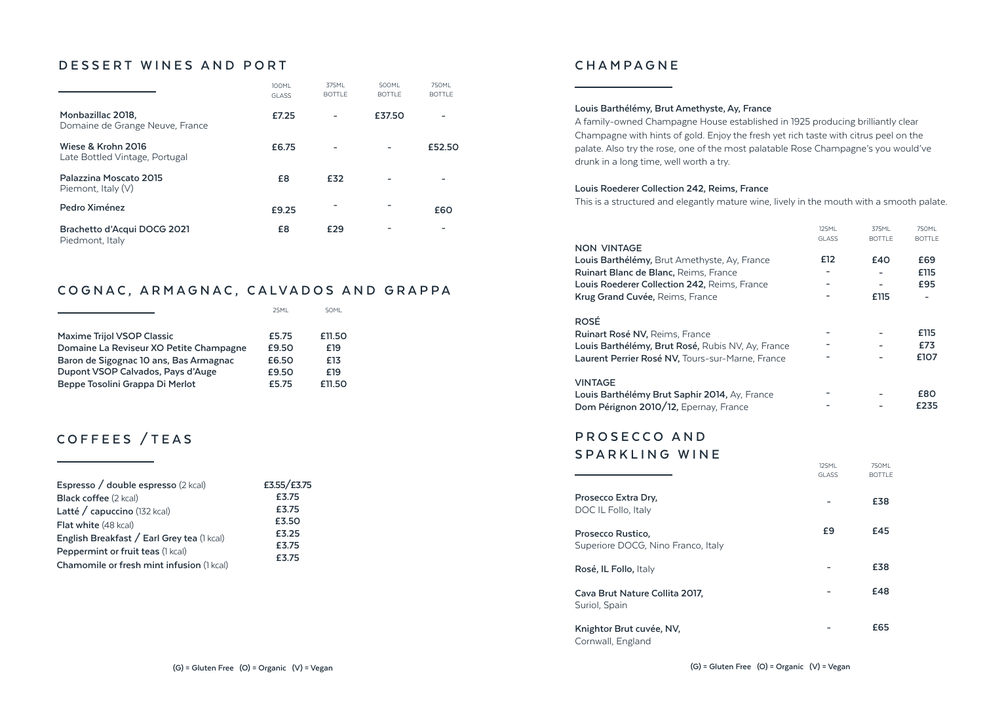#### **DESSERT WINES AND PORT**

|                                                      | <b>100ML</b><br><b>GLASS</b> | 375ML<br><b>BOTTLE</b> | 500ML<br><b>BOTTLE</b> | 750ML<br><b>BOTTLE</b> |
|------------------------------------------------------|------------------------------|------------------------|------------------------|------------------------|
| Monbazillac 2018.<br>Domaine de Grange Neuve, France | £7.25                        |                        | £37.50                 |                        |
| Wiese & Krohn 2016<br>Late Bottled Vintage, Portugal | £6.75                        |                        |                        | £52.50                 |
| Palazzina Moscato 2015<br>Piemont, Italy $(V)$       | £8                           | £32                    |                        |                        |
| Pedro Ximénez                                        | £9.25                        |                        |                        | £60                    |
| Brachetto d'Acqui DOCG 2021<br>Piedmont, Italy       | £8                           | £29                    |                        |                        |

#### **COGNAC, ARMAGNAC, CALVADOS AND GRAPPA**

|                                         | 25MI  | 50MI   |
|-----------------------------------------|-------|--------|
|                                         |       |        |
| <b>Maxime Trijol VSOP Classic</b>       | £5.75 | £11.50 |
| Domaine La Reviseur XO Petite Champagne | £9.50 | £19    |
| Baron de Sigognac 10 ans, Bas Armagnac  | £6.50 | £13    |
| Dupont VSOP Calvados, Pays d'Auge       | £9.50 | £19    |
| Beppe Tosolini Grappa Di Merlot         | £5.75 | £11.50 |

### **COFFEES /TEAS**

| Espresso / double espresso (2 kcal)        | £3.55/£3.75 |
|--------------------------------------------|-------------|
| <b>Black coffee (2 kcal)</b>               | £3.75       |
| Latté / capuccino (132 kcal)               | £3.75       |
| Flat white (48 kcal)                       | £3.50       |
| English Breakfast / Earl Grey tea (1 kcal) | £3.25       |
| Peppermint or fruit teas (1 kcal)          | £3.75       |
| Chamomile or fresh mint infusion (1 kcal)  | £3.75       |

#### **CHAMPAGNE**

#### **Louis Barthélémy, Brut Amethyste, Ay, France**

A family-owned Champagne House established in 1925 producing brilliantly clear Champagne with hints of gold. Enjoy the fresh yet rich taste with citrus peel on the palate. Also try the rose, one of the most palatable Rose Champagne's you would've drunk in a long time, well worth a try.

#### **Louis Roederer Collection 242, Reims, France**

This is a structured and elegantly mature wine, lively in the mouth with a smooth palate.

|                                                                                                                                                        | <b>125ML</b><br><b>GLASS</b> | 375ML<br><b>BOTTLE</b> | <b>750ML</b><br><b>BOTTLE</b> |
|--------------------------------------------------------------------------------------------------------------------------------------------------------|------------------------------|------------------------|-------------------------------|
| NON VINTAGE                                                                                                                                            |                              |                        |                               |
| Louis Barthélémy, Brut Amethyste, Ay, France                                                                                                           | £12                          | £40                    | £69                           |
| <b>Ruinart Blanc de Blanc, Reims, France</b>                                                                                                           |                              |                        | £115                          |
| <b>Louis Roederer Collection 242, Reims, France</b>                                                                                                    |                              |                        | £95                           |
| Krug Grand Cuvée, Reims, France                                                                                                                        |                              | £115                   |                               |
| ROSÉ<br><b>Ruinart Rosé NV, Reims, France</b><br>Louis Barthélémy, Brut Rosé, Rubis NV, Ay, France<br>Laurent Perrier Rosé NV, Tours-sur-Marne, France |                              |                        | £115<br>£73<br>£107           |
| VINTAGE<br>Louis Barthélémy Brut Saphir 2014, Ay, France<br>Dom Pérignon 2010/12, Epernay, France                                                      |                              |                        | £80<br>£235                   |

125ML

750ML

## **PROSECCO AND**

#### **SPARKLING WINE**

|                                                         | <b>GLASS</b> | <b>BOTTLE</b> |
|---------------------------------------------------------|--------------|---------------|
| Prosecco Extra Dry.<br>DOC IL Follo, Italy              |              | £38           |
| Prosecco Rustico.<br>Superiore DOCG, Nino Franco, Italy | £9           | £45           |
| Rosé, IL Follo, Italy                                   |              | £38           |
| Cava Brut Nature Collita 2017.<br>Suriol, Spain         |              | £48           |
| Knightor Brut cuvée, NV,<br>Cornwall, England           |              | £65           |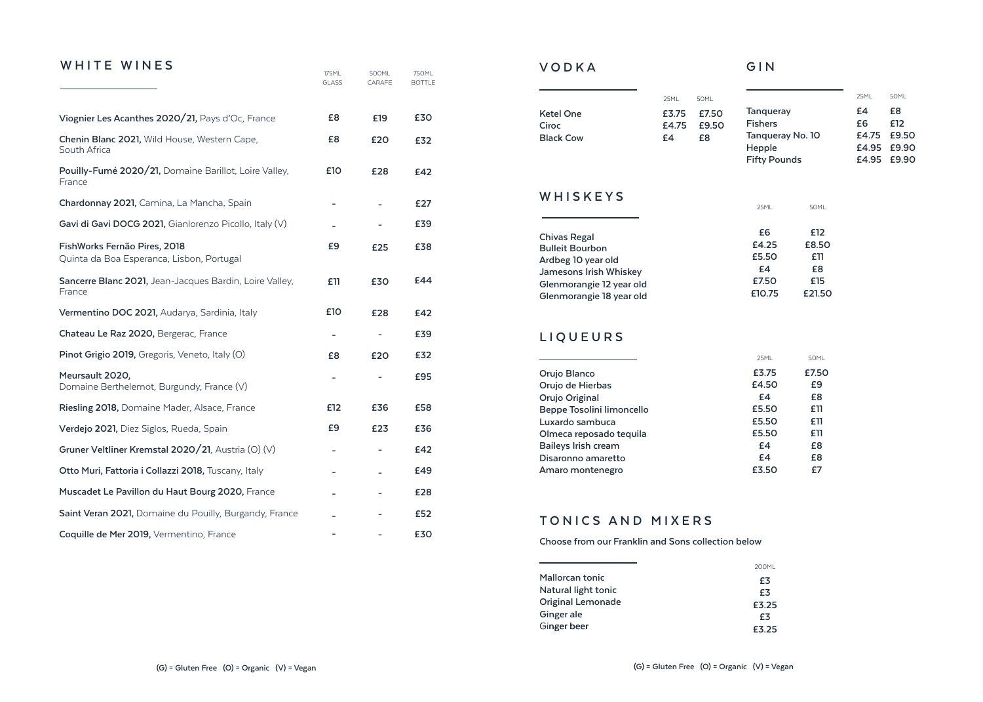#### WHITE WINES

|                                                                           | 175ML<br><b>GLASS</b>    | 500ML<br>CARAFE | 750ML<br><b>BOTTLE</b> |
|---------------------------------------------------------------------------|--------------------------|-----------------|------------------------|
| Viognier Les Acanthes 2020/21, Pays d'Oc, France                          | £8                       | £19             | £30                    |
| Chenin Blanc 2021, Wild House, Western Cape,<br>South Africa              | £8                       | £20             | £32                    |
| Pouilly-Fumé 2020/21, Domaine Barillot, Loire Valley,<br>France           | £10                      | £28             | £42                    |
| Chardonnay 2021, Camina, La Mancha, Spain                                 |                          |                 | £27                    |
| Gavi di Gavi DOCG 2021, Gianlorenzo Picollo, Italy (V)                    |                          |                 | £39                    |
| FishWorks Fernão Pires, 2018<br>Quinta da Boa Esperanca, Lisbon, Portugal | £9                       | £25             | £38                    |
| Sancerre Blanc 2021, Jean-Jacques Bardin, Loire Valley,<br>France         | £11                      | £30             | £44                    |
| Vermentino DOC 2021, Audarya, Sardinia, Italy                             | £10                      | £28             | £42                    |
| Chateau Le Raz 2020, Bergerac, France                                     | -                        |                 | £39                    |
| Pinot Grigio 2019, Gregoris, Veneto, Italy (O)                            | £8                       | £20             | £32                    |
| Meursault 2020,<br>Domaine Berthelemot, Burgundy, France (V)              |                          |                 | £95                    |
| Riesling 2018, Domaine Mader, Alsace, France                              | £12                      | £36             | £58                    |
| Verdejo 2021, Diez Siglos, Rueda, Spain                                   | £9                       | £23             | £36                    |
| Gruner Veltliner Kremstal 2020/21, Austria (O) (V)                        | $\overline{\phantom{0}}$ |                 | £42                    |
| Otto Muri, Fattoria i Collazzi 2018, Tuscany, Italy                       |                          |                 | £49                    |
| Muscadet Le Pavillon du Haut Bourg 2020, France                           |                          |                 | £28                    |
| Saint Veran 2021, Domaine du Pouilly, Burgandy, France                    |                          |                 | £52                    |
| Coquille de Mer 2019, Vermentino, France                                  |                          |                 | £30                    |

#### **VODKA GIN**

|                           | 25MI        | <b>50ML</b>       |
|---------------------------|-------------|-------------------|
| Ketel One                 | £3.75 £7.50 |                   |
| Ciroc<br><b>Black Cow</b> | £4          | £4.75 £9.50<br>£Я |
|                           |             |                   |

|                     | 25MI | 50MI        |
|---------------------|------|-------------|
| <b>Tangueray</b>    | £4   | £8          |
| <b>Fishers</b>      | £6   | <b>F12</b>  |
| Tangueray No. 10    |      | £4.75 £9.50 |
| Hepple              |      | £4.95 £9.90 |
| <b>Fifty Pounds</b> |      | £4.95 £9.90 |

25ML 50ML

#### **WHISKEYS**

| <b>Chivas Regal</b>      | £6     | £12    |
|--------------------------|--------|--------|
| <b>Bulleit Bourbon</b>   | £4.25  | £8.50  |
| Ardbeg 10 year old       | £5.50  | £11    |
| Jamesons Irish Whiskey   | £4     | £8     |
| Glenmorangie 12 year old | £7.50  | £15    |
| Glenmorangie 18 year old | £10.75 | £21.50 |
|                          |        |        |

#### **LIQUEURS**

|                           | 25MI  | 50MI  |
|---------------------------|-------|-------|
| Orujo Blanco              | £3.75 | £7.50 |
| Orujo de Hierbas          | £4.50 | £9    |
| Orujo Original            | £4    | £8    |
| Beppe Tosolini limoncello | £5.50 | £11   |
| Luxardo sambuca           | £5.50 | £11   |
| Olmeca reposado tequila   | £5.50 | £11   |
| Baileys Irish cream       | £4    | £8    |
| Disaronno amaretto        | £4    | £8    |
| Amaro montenegro          | £3.50 | £7    |

#### **TONICS AND MIXERS**

**Choose from our Franklin and Sons collection below**

|                     | 200ML |
|---------------------|-------|
| Mallorcan tonic     | £3    |
| Natural light tonic | £3    |
| Original Lemonade   | £3.25 |
| Ginger ale          | £3    |
| Ginger beer         | £3.25 |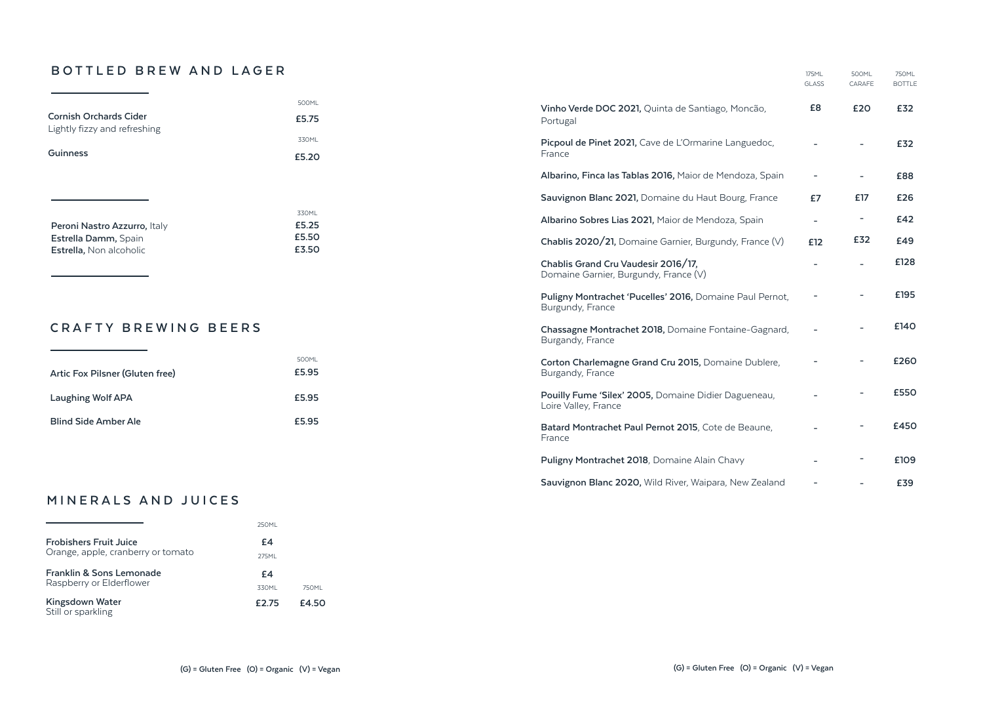#### **BOTTLED BREW AND LAGER**

|                                                                   |                                                                              |                                                                              | <b>GLASS</b>             | CARAFE                   | <b>BOTTLE</b> |
|-------------------------------------------------------------------|------------------------------------------------------------------------------|------------------------------------------------------------------------------|--------------------------|--------------------------|---------------|
| <b>Cornish Orchards Cider</b><br>Lightly fizzy and refreshing     | 500ML<br>£5.75                                                               | Vinho Verde DOC 2021, Quinta de Santiago, Moncão,<br>Portugal                | £8                       | £20                      | £32           |
| Guinness                                                          | 330ML<br>£5.20                                                               | Picpoul de Pinet 2021, Cave de L'Ormarine Languedoc,<br>France               |                          |                          | £32           |
|                                                                   |                                                                              | Albarino, Finca las Tablas 2016, Maior de Mendoza, Spain                     | $\overline{\phantom{a}}$ | $\overline{\phantom{a}}$ | £88           |
|                                                                   |                                                                              | Sauvignon Blanc 2021, Domaine du Haut Bourg, France                          | £7                       | £17                      | £26           |
| Peroni Nastro Azzurro, Italy                                      | 330ML<br>£5.25                                                               | Albarino Sobres Lias 2021, Maior de Mendoza, Spain                           | $\overline{\phantom{a}}$ | $\overline{\phantom{a}}$ | £42           |
| £5.50<br>Estrella Damm, Spain<br>£3.50<br>Estrella, Non alcoholic |                                                                              | Chablis 2020/21, Domaine Garnier, Burgundy, France (V)                       | £12                      | £32                      | £49           |
|                                                                   | Chablis Grand Cru Vaudesir 2016/17,<br>Domaine Garnier, Burgundy, France (V) |                                                                              | $\overline{a}$           | £128                     |               |
|                                                                   |                                                                              | Puligny Montrachet 'Pucelles' 2016, Domaine Paul Pernot,<br>Burgundy, France |                          |                          | £195          |
| <b>CRAFTY BREWING BEERS</b>                                       |                                                                              | Chassagne Montrachet 2018, Domaine Fontaine-Gagnard,<br>Burgandy, France     |                          |                          | £140          |
| Artic Fox Pilsner (Gluten free)                                   | 500ML<br>£5.95                                                               | Corton Charlemagne Grand Cru 2015, Domaine Dublere,<br>Burgandy, France      |                          |                          | £260          |
| Laughing Wolf APA                                                 | £5.95                                                                        | Pouilly Fume 'Silex' 2005, Domaine Didier Dagueneau,<br>Loire Valley, France |                          |                          | £550          |
| <b>Blind Side Amber Ale</b>                                       | £5.95                                                                        | Batard Montrachet Paul Pernot 2015, Cote de Beaune,<br>France                |                          |                          | £450          |

#### **MINERALS AND JUICES**

|                                                                     | 250MI |       |
|---------------------------------------------------------------------|-------|-------|
| <b>Frobishers Fruit Juice</b><br>Orange, apple, cranberry or tomato | £4    |       |
|                                                                     | 275MI |       |
| <b>Franklin &amp; Sons Lemonade</b><br>Raspberry or Elderflower     | £4    |       |
|                                                                     | 330ML | 750MI |
| Kingsdown Water<br>Still or sparkling                               | £2.75 | £4.50 |

**Puligny Montrachet 2018**, Domaine Alain Chavy

**Sauvignon Blanc 2020,** Wild River, Waipara, New Zealand

175ML

500ML

750ML

**£109 £39**

**- -**

**-**

**-**